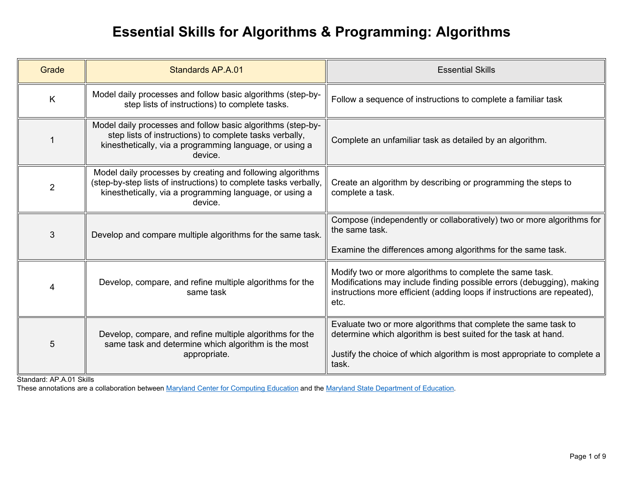## **Essential Skills for Algorithms & Programming: Algorithms**

| Grade          | <b>Standards AP.A.01</b>                                                                                                                                                                             | <b>Essential Skills</b>                                                                                                                                                                                               |
|----------------|------------------------------------------------------------------------------------------------------------------------------------------------------------------------------------------------------|-----------------------------------------------------------------------------------------------------------------------------------------------------------------------------------------------------------------------|
| K              | Model daily processes and follow basic algorithms (step-by-<br>step lists of instructions) to complete tasks.                                                                                        | Follow a sequence of instructions to complete a familiar task                                                                                                                                                         |
|                | Model daily processes and follow basic algorithms (step-by-<br>step lists of instructions) to complete tasks verbally,<br>kinesthetically, via a programming language, or using a<br>device.         | Complete an unfamiliar task as detailed by an algorithm.                                                                                                                                                              |
| $\overline{2}$ | Model daily processes by creating and following algorithms<br>(step-by-step lists of instructions) to complete tasks verbally,<br>kinesthetically, via a programming language, or using a<br>device. | Create an algorithm by describing or programming the steps to<br>complete a task.                                                                                                                                     |
| 3              | Develop and compare multiple algorithms for the same task.                                                                                                                                           | Compose (independently or collaboratively) two or more algorithms for<br>the same task.<br>Examine the differences among algorithms for the same task.                                                                |
| 4              | Develop, compare, and refine multiple algorithms for the<br>same task                                                                                                                                | Modify two or more algorithms to complete the same task.<br>Modifications may include finding possible errors (debugging), making<br>instructions more efficient (adding loops if instructions are repeated),<br>etc. |
| 5              | Develop, compare, and refine multiple algorithms for the<br>same task and determine which algorithm is the most<br>appropriate.                                                                      | Evaluate two or more algorithms that complete the same task to<br>determine which algorithm is best suited for the task at hand.<br>Justify the choice of which algorithm is most appropriate to complete a<br>task.  |

Standard: AP.A.01 Skills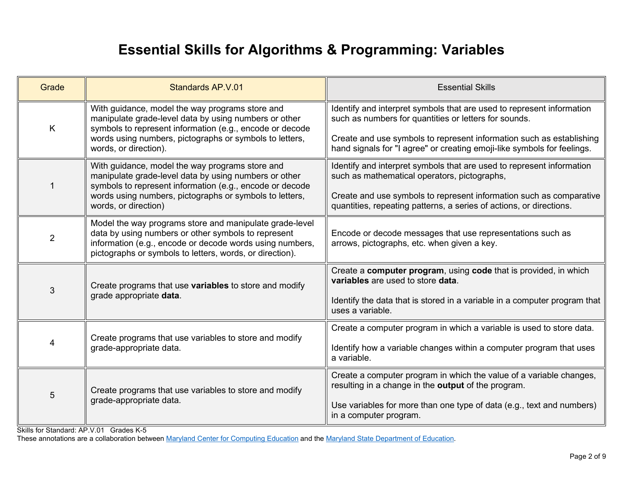## **Essential Skills for Algorithms & Programming: Variables**

| Grade          | <b>Standards AP.V.01</b>                                                                                                                                                                                                                                 | <b>Essential Skills</b>                                                                                                                                                                                |
|----------------|----------------------------------------------------------------------------------------------------------------------------------------------------------------------------------------------------------------------------------------------------------|--------------------------------------------------------------------------------------------------------------------------------------------------------------------------------------------------------|
| K              | With guidance, model the way programs store and<br>manipulate grade-level data by using numbers or other<br>symbols to represent information (e.g., encode or decode<br>words using numbers, pictographs or symbols to letters,<br>words, or direction). | Identify and interpret symbols that are used to represent information<br>such as numbers for quantities or letters for sounds.<br>Create and use symbols to represent information such as establishing |
|                |                                                                                                                                                                                                                                                          | hand signals for "I agree" or creating emoji-like symbols for feelings.                                                                                                                                |
|                | With guidance, model the way programs store and<br>manipulate grade-level data by using numbers or other<br>symbols to represent information (e.g., encode or decode                                                                                     | Identify and interpret symbols that are used to represent information<br>such as mathematical operators, pictographs,                                                                                  |
|                | words using numbers, pictographs or symbols to letters,<br>words, or direction)                                                                                                                                                                          | Create and use symbols to represent information such as comparative<br>quantities, repeating patterns, a series of actions, or directions.                                                             |
| $\overline{2}$ | Model the way programs store and manipulate grade-level<br>data by using numbers or other symbols to represent<br>information (e.g., encode or decode words using numbers,<br>pictographs or symbols to letters, words, or direction).                   | Encode or decode messages that use representations such as<br>arrows, pictographs, etc. when given a key.                                                                                              |
| 3              | Create programs that use <b>variables</b> to store and modify                                                                                                                                                                                            | Create a computer program, using code that is provided, in which<br>variables are used to store data.                                                                                                  |
|                | grade appropriate data.                                                                                                                                                                                                                                  | Identify the data that is stored in a variable in a computer program that<br>uses a variable.                                                                                                          |
| 4              | Create programs that use variables to store and modify                                                                                                                                                                                                   | Create a computer program in which a variable is used to store data.                                                                                                                                   |
|                | grade-appropriate data.                                                                                                                                                                                                                                  | Identify how a variable changes within a computer program that uses<br>a variable.                                                                                                                     |
| 5              | Create programs that use variables to store and modify                                                                                                                                                                                                   | Create a computer program in which the value of a variable changes,<br>resulting in a change in the output of the program.                                                                             |
|                | grade-appropriate data.                                                                                                                                                                                                                                  | Use variables for more than one type of data (e.g., text and numbers)<br>in a computer program.                                                                                                        |

Skills for Standard: AP.V.01 Grades K-5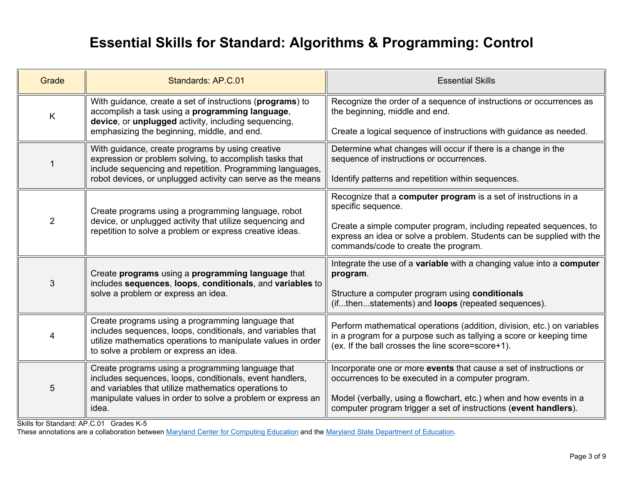## **Essential Skills for Standard: Algorithms & Programming: Control**

| Grade | Standards: AP.C.01                                                                                                                                                                                                         | <b>Essential Skills</b>                                                                                                                                                                             |
|-------|----------------------------------------------------------------------------------------------------------------------------------------------------------------------------------------------------------------------------|-----------------------------------------------------------------------------------------------------------------------------------------------------------------------------------------------------|
| K     | With guidance, create a set of instructions (programs) to<br>accomplish a task using a programming language,<br>device, or unplugged activity, including sequencing,<br>emphasizing the beginning, middle, and end.        | Recognize the order of a sequence of instructions or occurrences as<br>the beginning, middle and end.                                                                                               |
|       |                                                                                                                                                                                                                            | Create a logical sequence of instructions with guidance as needed.                                                                                                                                  |
|       | With guidance, create programs by using creative<br>expression or problem solving, to accomplish tasks that<br>include sequencing and repetition. Programming languages,                                                   | Determine what changes will occur if there is a change in the<br>sequence of instructions or occurrences.                                                                                           |
|       | robot devices, or unplugged activity can serve as the means                                                                                                                                                                | Identify patterns and repetition within sequences.                                                                                                                                                  |
| 2     | Create programs using a programming language, robot<br>device, or unplugged activity that utilize sequencing and<br>repetition to solve a problem or express creative ideas.                                               | Recognize that a computer program is a set of instructions in a<br>specific sequence.                                                                                                               |
|       |                                                                                                                                                                                                                            | Create a simple computer program, including repeated sequences, to<br>express an idea or solve a problem. Students can be supplied with the<br>commands/code to create the program.                 |
| 3     | Create programs using a programming language that<br>includes sequences, loops, conditionals, and variables to                                                                                                             | Integrate the use of a variable with a changing value into a computer<br>program.                                                                                                                   |
|       | solve a problem or express an idea.                                                                                                                                                                                        | Structure a computer program using conditionals<br>(ifthenstatements) and <b>loops</b> (repeated sequences).                                                                                        |
|       | Create programs using a programming language that<br>includes sequences, loops, conditionals, and variables that<br>utilize mathematics operations to manipulate values in order<br>to solve a problem or express an idea. | Perform mathematical operations (addition, division, etc.) on variables<br>in a program for a purpose such as tallying a score or keeping time<br>(ex. If the ball crosses the line score=score+1). |
| 5     | Create programs using a programming language that<br>includes sequences, loops, conditionals, event handlers,<br>and variables that utilize mathematics operations to                                                      | Incorporate one or more events that cause a set of instructions or<br>occurrences to be executed in a computer program.                                                                             |
|       | manipulate values in order to solve a problem or express an<br>idea.                                                                                                                                                       | Model (verbally, using a flowchart, etc.) when and how events in a<br>computer program trigger a set of instructions (event handlers).                                                              |

Skills for Standard: AP.C.01 Grades K-5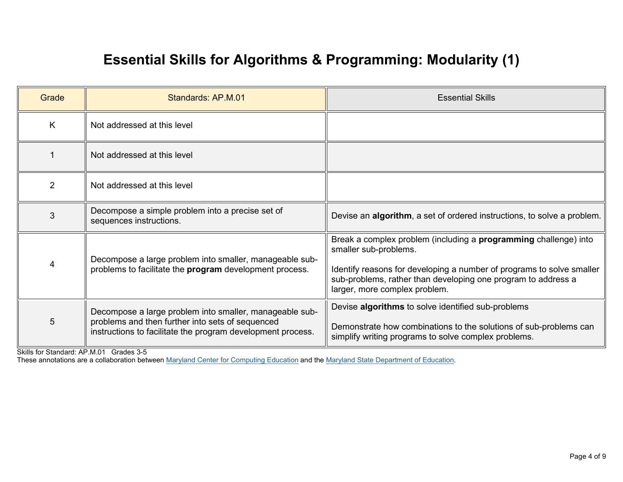# **Essential Skills for Algorithms & Programming: Modularity (1)**

| Grade          | Standards: AP.M.01                                                                                                                                                         | <b>Essential Skills</b>                                                                                                                                                                                                                                                     |
|----------------|----------------------------------------------------------------------------------------------------------------------------------------------------------------------------|-----------------------------------------------------------------------------------------------------------------------------------------------------------------------------------------------------------------------------------------------------------------------------|
| K              | Not addressed at this level                                                                                                                                                |                                                                                                                                                                                                                                                                             |
|                | Not addressed at this level                                                                                                                                                |                                                                                                                                                                                                                                                                             |
| $\overline{2}$ | Not addressed at this level                                                                                                                                                |                                                                                                                                                                                                                                                                             |
| 3              | Decompose a simple problem into a precise set of<br>sequences instructions.                                                                                                | Devise an algorithm, a set of ordered instructions, to solve a problem.                                                                                                                                                                                                     |
| 4              | Decompose a large problem into smaller, manageable sub-<br>problems to facilitate the <b>program</b> development process.                                                  | Break a complex problem (including a <b>programming</b> challenge) into<br>smaller sub-problems.<br>Identify reasons for developing a number of programs to solve smaller<br>sub-problems, rather than developing one program to address a<br>larger, more complex problem. |
| 5              | Decompose a large problem into smaller, manageable sub-<br>problems and then further into sets of sequenced<br>instructions to facilitate the program development process. | Devise algorithms to solve identified sub-problems<br>Demonstrate how combinations to the solutions of sub-problems can<br>simplify writing programs to solve complex problems.                                                                                             |

Skills for Standard: AP.M.01 Grades 3-5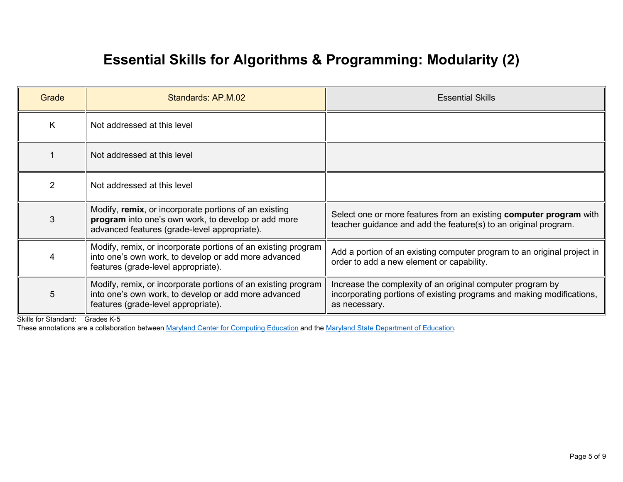# **Essential Skills for Algorithms & Programming: Modularity (2)**

| Grade          | Standards: AP.M.02                                                                                                                                           | <b>Essential Skills</b>                                                                                                                              |
|----------------|--------------------------------------------------------------------------------------------------------------------------------------------------------------|------------------------------------------------------------------------------------------------------------------------------------------------------|
| K              | Not addressed at this level                                                                                                                                  |                                                                                                                                                      |
|                | Not addressed at this level                                                                                                                                  |                                                                                                                                                      |
| $\overline{2}$ | Not addressed at this level                                                                                                                                  |                                                                                                                                                      |
| 3              | Modify, remix, or incorporate portions of an existing<br>program into one's own work, to develop or add more<br>advanced features (grade-level appropriate). | Select one or more features from an existing <b>computer program</b> with<br>teacher guidance and add the feature(s) to an original program.         |
| 4              | Modify, remix, or incorporate portions of an existing program<br>into one's own work, to develop or add more advanced<br>features (grade-level appropriate). | Add a portion of an existing computer program to an original project in<br>order to add a new element or capability.                                 |
| 5              | Modify, remix, or incorporate portions of an existing program<br>into one's own work, to develop or add more advanced<br>features (grade-level appropriate). | Increase the complexity of an original computer program by<br>incorporating portions of existing programs and making modifications,<br>as necessary. |

Skills for Standard: Grades K-5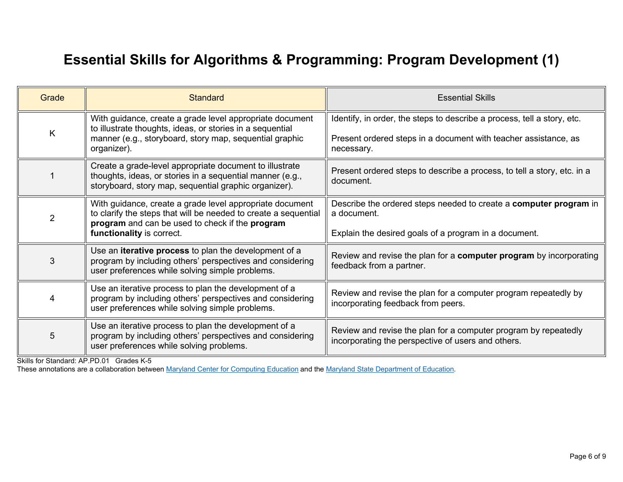## **Essential Skills for Algorithms & Programming: Program Development (1)**

| Grade                                    | <b>Standard</b>                                                                                                                                                                                             | <b>Essential Skills</b>                                                                                                                                  |
|------------------------------------------|-------------------------------------------------------------------------------------------------------------------------------------------------------------------------------------------------------------|----------------------------------------------------------------------------------------------------------------------------------------------------------|
| K                                        | With guidance, create a grade level appropriate document<br>to illustrate thoughts, ideas, or stories in a sequential<br>manner (e.g., storyboard, story map, sequential graphic<br>organizer).             | Identify, in order, the steps to describe a process, tell a story, etc.<br>Present ordered steps in a document with teacher assistance, as<br>necessary. |
|                                          | Create a grade-level appropriate document to illustrate<br>thoughts, ideas, or stories in a sequential manner (e.g.,<br>storyboard, story map, sequential graphic organizer).                               | Present ordered steps to describe a process, to tell a story, etc. in a<br>document.                                                                     |
| $\overline{2}$                           | With guidance, create a grade level appropriate document<br>to clarify the steps that will be needed to create a sequential<br>program and can be used to check if the program<br>functionality is correct. | Describe the ordered steps needed to create a computer program in<br>a document.<br>Explain the desired goals of a program in a document.                |
| 3                                        | Use an <b>iterative process</b> to plan the development of a<br>program by including others' perspectives and considering<br>user preferences while solving simple problems.                                | Review and revise the plan for a computer program by incorporating<br>feedback from a partner.                                                           |
| 4                                        | Use an iterative process to plan the development of a<br>program by including others' perspectives and considering<br>user preferences while solving simple problems.                                       | Review and revise the plan for a computer program repeatedly by<br>incorporating feedback from peers.                                                    |
| 5                                        | Use an iterative process to plan the development of a<br>program by including others' perspectives and considering<br>user preferences while solving problems.                                              | Review and revise the plan for a computer program by repeatedly<br>incorporating the perspective of users and others.                                    |
| Skills for Standard: AP.PD.01 Grades K-5 |                                                                                                                                                                                                             |                                                                                                                                                          |

These annotations are a collaboration between <u>Maryland Center for Computing Education</u> and the <u>Maryland State Department of Education</u>.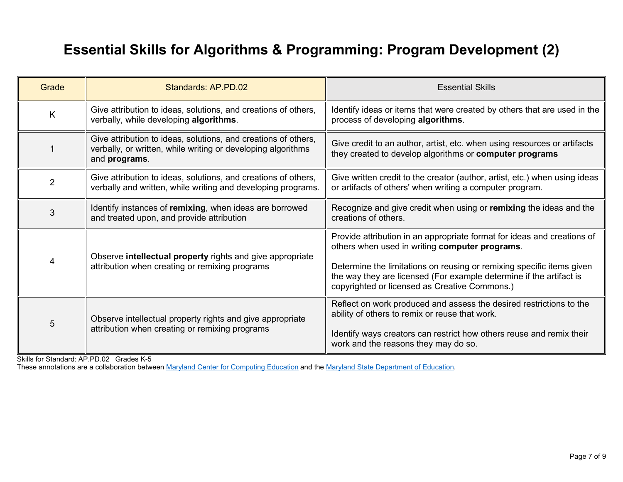## **Essential Skills for Algorithms & Programming: Program Development (2)**

| Grade          | Standards: AP.PD.02                                                                                                                             | <b>Essential Skills</b>                                                                                                                                                                                                                                                                                                    |
|----------------|-------------------------------------------------------------------------------------------------------------------------------------------------|----------------------------------------------------------------------------------------------------------------------------------------------------------------------------------------------------------------------------------------------------------------------------------------------------------------------------|
| K              | Give attribution to ideas, solutions, and creations of others,<br>verbally, while developing algorithms.                                        | Identify ideas or items that were created by others that are used in the<br>process of developing algorithms.                                                                                                                                                                                                              |
| 1              | Give attribution to ideas, solutions, and creations of others,<br>verbally, or written, while writing or developing algorithms<br>and programs. | Give credit to an author, artist, etc. when using resources or artifacts<br>they created to develop algorithms or computer programs                                                                                                                                                                                        |
| $\overline{2}$ | Give attribution to ideas, solutions, and creations of others,<br>verbally and written, while writing and developing programs.                  | Give written credit to the creator (author, artist, etc.) when using ideas<br>or artifacts of others' when writing a computer program.                                                                                                                                                                                     |
| 3              | Identify instances of remixing, when ideas are borrowed<br>and treated upon, and provide attribution                                            | Recognize and give credit when using or remixing the ideas and the<br>creations of others.                                                                                                                                                                                                                                 |
| 4              | Observe intellectual property rights and give appropriate<br>attribution when creating or remixing programs                                     | Provide attribution in an appropriate format for ideas and creations of<br>others when used in writing computer programs.<br>Determine the limitations on reusing or remixing specific items given<br>the way they are licensed (For example determine if the artifact is<br>copyrighted or licensed as Creative Commons.) |
| 5              | Observe intellectual property rights and give appropriate<br>attribution when creating or remixing programs                                     | Reflect on work produced and assess the desired restrictions to the<br>ability of others to remix or reuse that work.<br>Identify ways creators can restrict how others reuse and remix their<br>work and the reasons they may do so.                                                                                      |

Skills for Standard: AP.PD.02 Grades K-5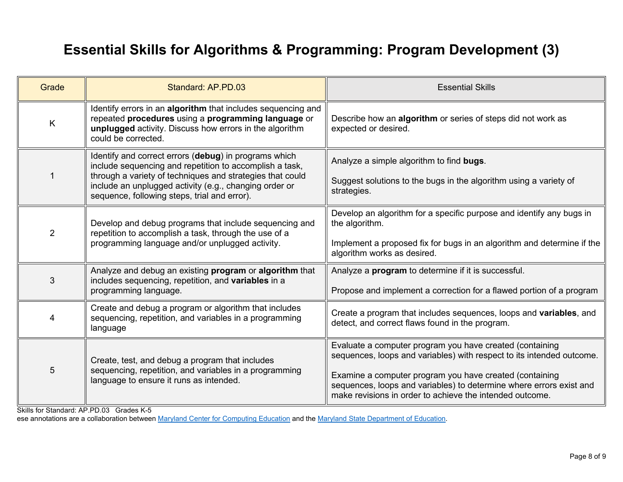#### **Essential Skills for Algorithms & Programming: Program Development (3)**

| Grade          | Standard: AP.PD.03                                                                                                                                                                                                                                                                      | <b>Essential Skills</b>                                                                                                                                                                                                                                                                                                         |
|----------------|-----------------------------------------------------------------------------------------------------------------------------------------------------------------------------------------------------------------------------------------------------------------------------------------|---------------------------------------------------------------------------------------------------------------------------------------------------------------------------------------------------------------------------------------------------------------------------------------------------------------------------------|
| K              | Identify errors in an algorithm that includes sequencing and<br>repeated procedures using a programming language or<br>unplugged activity. Discuss how errors in the algorithm<br>could be corrected.                                                                                   | Describe how an algorithm or series of steps did not work as<br>expected or desired.                                                                                                                                                                                                                                            |
|                | Identify and correct errors (debug) in programs which<br>include sequencing and repetition to accomplish a task,<br>through a variety of techniques and strategies that could<br>include an unplugged activity (e.g., changing order or<br>sequence, following steps, trial and error). | Analyze a simple algorithm to find bugs.<br>Suggest solutions to the bugs in the algorithm using a variety of<br>strategies.                                                                                                                                                                                                    |
| $\overline{2}$ | Develop and debug programs that include sequencing and<br>repetition to accomplish a task, through the use of a<br>programming language and/or unplugged activity.                                                                                                                      | Develop an algorithm for a specific purpose and identify any bugs in<br>the algorithm.<br>Implement a proposed fix for bugs in an algorithm and determine if the<br>algorithm works as desired.                                                                                                                                 |
| 3              | Analyze and debug an existing program or algorithm that<br>includes sequencing, repetition, and variables in a<br>programming language.                                                                                                                                                 | Analyze a <b>program</b> to determine if it is successful.<br>Propose and implement a correction for a flawed portion of a program                                                                                                                                                                                              |
| 4              | Create and debug a program or algorithm that includes<br>sequencing, repetition, and variables in a programming<br>language                                                                                                                                                             | Create a program that includes sequences, loops and variables, and<br>detect, and correct flaws found in the program.                                                                                                                                                                                                           |
| 5              | Create, test, and debug a program that includes<br>sequencing, repetition, and variables in a programming<br>language to ensure it runs as intended.                                                                                                                                    | Evaluate a computer program you have created (containing<br>sequences, loops and variables) with respect to its intended outcome.<br>Examine a computer program you have created (containing<br>sequences, loops and variables) to determine where errors exist and<br>make revisions in order to achieve the intended outcome. |

Skills for Standard: AP.PD.03 Grades K-5